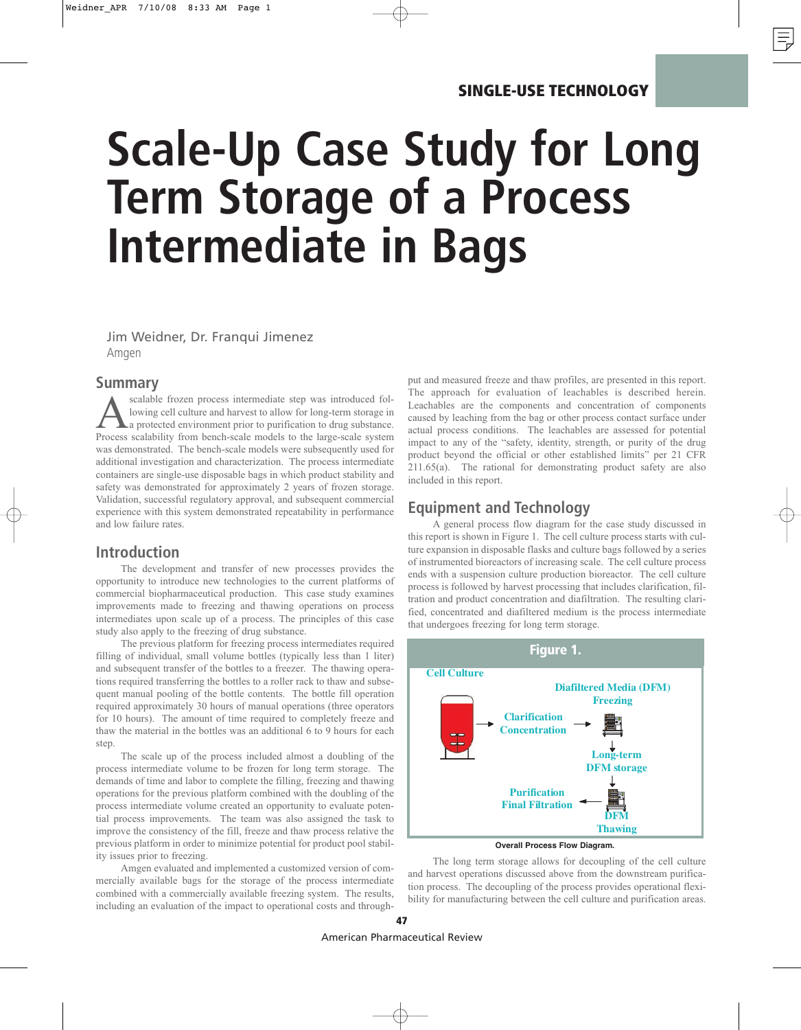# **Scale-Up Case Study for Long Term Storage of a Process Intermediate in Bags**

Jim Weidner, Dr. Franqui Jimenez Amgen

#### **Summary**

scalable frozen process intermediate step was introduced following cell culture and harvest to allow for long-term storage in a protected environment prior to purification to drug substance. Process scalability from bench-scale models to the large-scale system was demonstrated. The bench-scale models were subsequently used for additional investigation and characterization. The process intermediate containers are single-use disposable bags in which product stability and safety was demonstrated for approximately 2 years of frozen storage. Validation, successful regulatory approval, and subsequent commercial experience with this system demonstrated repeatability in performance and low failure rates.

### **Introduction**

The development and transfer of new processes provides the opportunity to introduce new technologies to the current platforms of commercial biopharmaceutical production. This case study examines improvements made to freezing and thawing operations on process intermediates upon scale up of a process. The principles of this case study also apply to the freezing of drug substance.

The previous platform for freezing process intermediates required filling of individual, small volume bottles (typically less than 1 liter) and subsequent transfer of the bottles to a freezer. The thawing operations required transferring the bottles to a roller rack to thaw and subsequent manual pooling of the bottle contents. The bottle fill operation required approximately 30 hours of manual operations (three operators for 10 hours). The amount of time required to completely freeze and thaw the material in the bottles was an additional 6 to 9 hours for each step

The scale up of the process included almost a doubling of the process intermediate volume to be frozen for long term storage. The demands of time and labor to complete the filling, freezing and thawing operations for the previous platform combined with the doubling of the process intermediate volume created an opportunity to evaluate potential process improvements. The team was also assigned the task to improve the consistency of the fill, freeze and thaw process relative the previous platform in order to minimize potential for product pool stability issues prior to freezing.

Amgen evaluated and implemented a customized version of commercially available bags for the storage of the process intermediate combined with a commercially available freezing system. The results, including an evaluation of the impact to operational costs and through-

put and measured freeze and thaw profiles, are presented in this report. The approach for evaluation of leachables is described herein. Leachables are the components and concentration of components caused by leaching from the bag or other process contact surface under actual process conditions. The leachables are assessed for potential impact to any of the "safety, identity, strength, or purity of the drug product beyond the official or other established limits" per 21 CFR 211.65(a). The rational for demonstrating product safety are also included in this report.

## **Equipment and Technology**

A general process flow diagram for the case study discussed in this report is shown in Figure 1. The cell culture process starts with culture expansion in disposable flasks and culture bags followed by a series of instrumented bioreactors of increasing scale. The cell culture process ends with a suspension culture production bioreactor. The cell culture process is followed by harvest processing that includes clarification, filtration and product concentration and diafiltration. The resulting clarified, concentrated and diafiltered medium is the process intermediate that undergoes freezing for long term storage.



**Overall Process Flow Diagram.**

The long term storage allows for decoupling of the cell culture and harvest operations discussed above from the downstream purification process. The decoupling of the process provides operational flexibility for manufacturing between the cell culture and purification areas.

**47**

American Pharmaceutical Review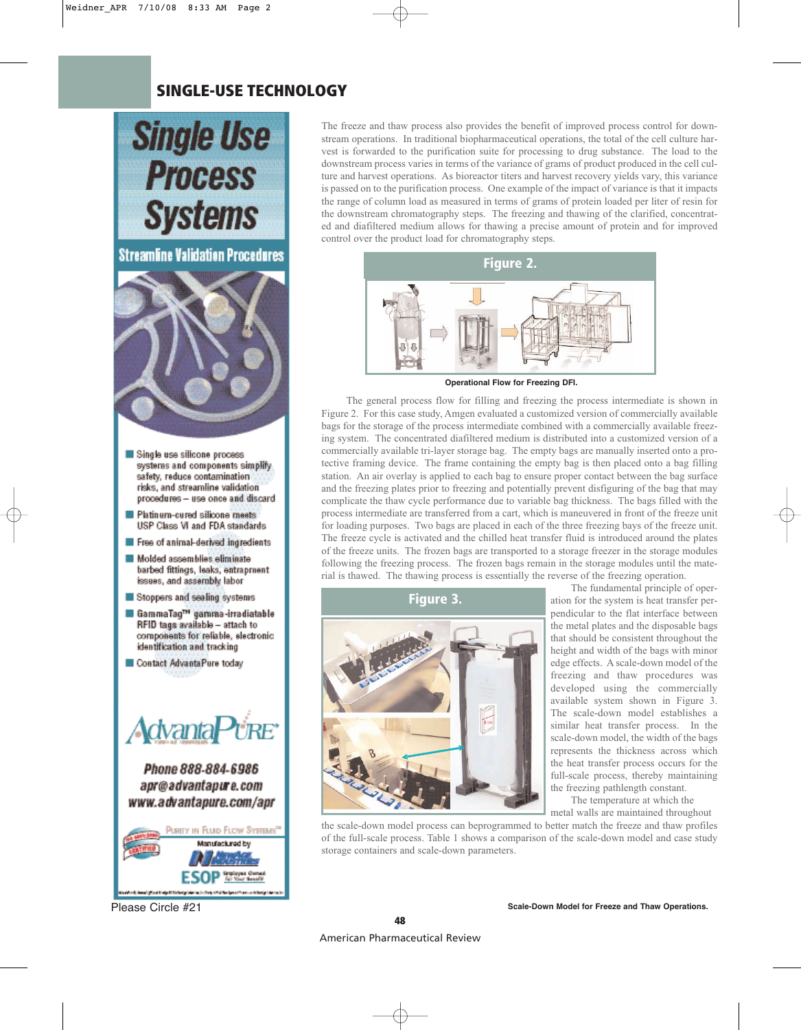## **SINGLE-USE TECHNOLOGY**



The freeze and thaw process also provides the benefit of improved process control for downstream operations. In traditional biopharmaceutical operations, the total of the cell culture harvest is forwarded to the purification suite for processing to drug substance. The load to the downstream process varies in terms of the variance of grams of product produced in the cell culture and harvest operations. As bioreactor titers and harvest recovery yields vary, this variance is passed on to the purification process. One example of the impact of variance is that it impacts the range of column load as measured in terms of grams of protein loaded per liter of resin for the downstream chromatography steps. The freezing and thawing of the clarified, concentrated and diafiltered medium allows for thawing a precise amount of protein and for improved control over the product load for chromatography steps.



**Operational Flow for Freezing DFI.**

The general process flow for filling and freezing the process intermediate is shown in Figure 2. For this case study, Amgen evaluated a customized version of commercially available bags for the storage of the process intermediate combined with a commercially available freezing system. The concentrated diafiltered medium is distributed into a customized version of a commercially available tri-layer storage bag. The empty bags are manually inserted onto a protective framing device. The frame containing the empty bag is then placed onto a bag filling station. An air overlay is applied to each bag to ensure proper contact between the bag surface and the freezing plates prior to freezing and potentially prevent disfiguring of the bag that may complicate the thaw cycle performance due to variable bag thickness. The bags filled with the process intermediate are transferred from a cart, which is maneuvered in front of the freeze unit for loading purposes. Two bags are placed in each of the three freezing bays of the freeze unit. The freeze cycle is activated and the chilled heat transfer fluid is introduced around the plates of the freeze units. The frozen bags are transported to a storage freezer in the storage modules following the freezing process. The frozen bags remain in the storage modules until the material is thawed. The thawing process is essentially the reverse of the freezing operation.

**Figure 3.**



The fundamental principle of operation for the system is heat transfer perpendicular to the flat interface between the metal plates and the disposable bags that should be consistent throughout the height and width of the bags with minor edge effects. A scale-down model of the freezing and thaw procedures was developed using the commercially available system shown in Figure 3. The scale-down model establishes a similar heat transfer process. In the scale-down model, the width of the bags represents the thickness across which the heat transfer process occurs for the full-scale process, thereby maintaining the freezing pathlength constant.

The temperature at which the

metal walls are maintained throughout

the scale-down model process can beprogrammed to better match the freeze and thaw profiles of the full-scale process. Table 1 shows a comparison of the scale-down model and case study storage containers and scale-down parameters.

**48** American Pharmaceutical Review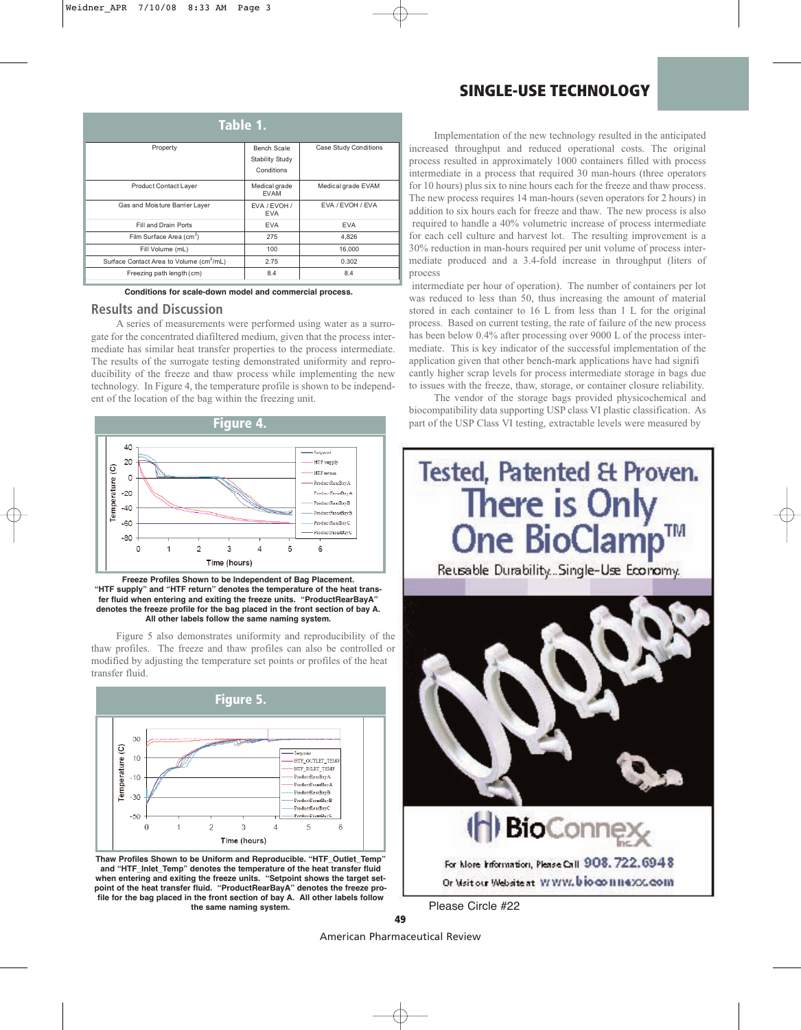| Table 1.                                             |                              |                       |
|------------------------------------------------------|------------------------------|-----------------------|
| Property                                             | Bench Scale                  | Case Study Conditions |
|                                                      | Stability Study              |                       |
|                                                      | Conditions                   |                       |
| <b>Product Contact Layer</b>                         | Medical grade<br><b>EVAM</b> | Medical grade EVAM    |
| Gas and Moisture Barrier Layer                       | EVA / EVOH /<br><b>EVA</b>   | EVA / EVOH / EVA      |
| Fill and Drain Ports                                 | <b>EVA</b>                   | <b>EVA</b>            |
| Film Surface Area (cm <sup>2</sup> )                 | 275                          | 4,826                 |
| Fill Volume (mL)                                     | 100                          | 16,000                |
| Surface Contact Area to Volume (cm <sup>2</sup> /mL) | 2.75                         | 0.302                 |
| Freezing path length (cm)                            | 8.4                          | 8.4                   |

**Conditions for scale-down model and commercial process.**

#### **Results and Discussion**

A series of measurements were performed using water as a surrogate for the concentrated diafiltered medium, given that the process intermediate has similar heat transfer properties to the process intermediate. The results of the surrogate testing demonstrated uniformity and reproducibility of the freeze and thaw process while implementing the new technology. In Figure 4, the temperature profile is shown to be independent of the location of the bag within the freezing unit.



**Freeze Profiles Shown to be Independent of Bag Placement. "HTF supply" and "HTF return" denotes the temperature of the heat transfer fluid when entering and exiting the freeze units. "ProductRearBayA" denotes the freeze profile for the bag placed in the front section of bay A. All other labels follow the same naming system.**

Figure 5 also demonstrates uniformity and reproducibility of the thaw profiles. The freeze and thaw profiles can also be controlled or modified by adjusting the temperature set points or profiles of the heat transfer fluid.



**Thaw Profiles Shown to be Uniform and Reproducible. "HTF\_Outlet\_Temp" and "HTF\_Inlet\_Temp" denotes the temperature of the heat transfer fluid when entering and exiting the freeze units. "Setpoint shows the target setpoint of the heat transfer fluid. "ProductRearBayA" denotes the freeze profile for the bag placed in the front section of bay A. All other labels follow the same naming system.**

## **SINGLE-USE TECHNOLOGY**

Implementation of the new technology resulted in the anticipated increased throughput and reduced operational costs. The original process resulted in approximately 1000 containers filled with process intermediate in a process that required 30 man-hours (three operators for 10 hours) plus six to nine hours each for the freeze and thaw process. The new process requires 14 man-hours (seven operators for 2 hours) in addition to six hours each for freeze and thaw. The new process is also required to handle a 40% volumetric increase of process intermediate for each cell culture and harvest lot. The resulting improvement is a 30% reduction in man-hours required per unit volume of process intermediate produced and a 3.4-fold increase in throughput (liters of process

intermediate per hour of operation). The number of containers per lot was reduced to less than 50, thus increasing the amount of material stored in each container to 16 L from less than 1 L for the original process. Based on current testing, the rate of failure of the new process has been below 0.4% after processing over 9000 L of the process intermediate. This is key indicator of the successful implementation of the application given that other bench-mark applications have had signifi cantly higher scrap levels for process intermediate storage in bags due to issues with the freeze, thaw, storage, or container closure reliability.

The vendor of the storage bags provided physicochemical and biocompatibility data supporting USP class VI plastic classification. As part of the USP Class VI testing, extractable levels were measured by



Please Circle #22

**49** American Pharmaceutical Review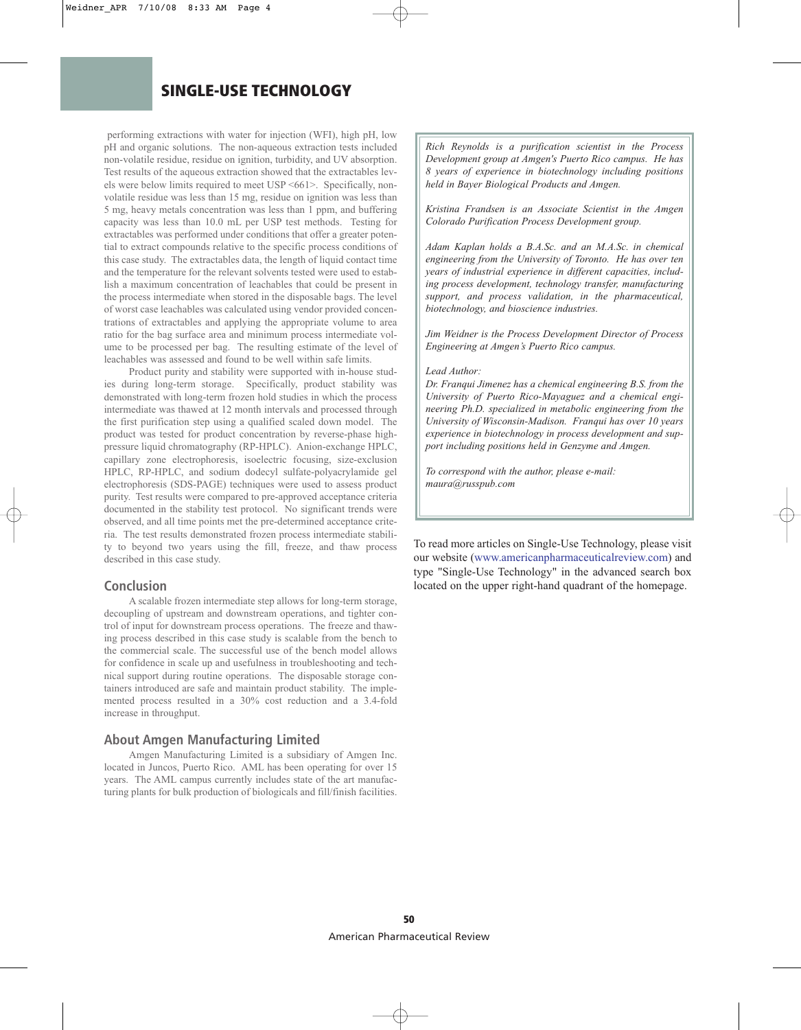## **SINGLE-USE TECHNOLOGY**

performing extractions with water for injection (WFI), high pH, low pH and organic solutions. The non-aqueous extraction tests included non-volatile residue, residue on ignition, turbidity, and UV absorption. Test results of the aqueous extraction showed that the extractables levels were below limits required to meet USP <661>. Specifically, nonvolatile residue was less than 15 mg, residue on ignition was less than 5 mg, heavy metals concentration was less than 1 ppm, and buffering capacity was less than 10.0 mL per USP test methods. Testing for extractables was performed under conditions that offer a greater potential to extract compounds relative to the specific process conditions of this case study. The extractables data, the length of liquid contact time and the temperature for the relevant solvents tested were used to establish a maximum concentration of leachables that could be present in the process intermediate when stored in the disposable bags. The level of worst case leachables was calculated using vendor provided concentrations of extractables and applying the appropriate volume to area ratio for the bag surface area and minimum process intermediate volume to be processed per bag. The resulting estimate of the level of leachables was assessed and found to be well within safe limits.

Product purity and stability were supported with in-house studies during long-term storage. Specifically, product stability was demonstrated with long-term frozen hold studies in which the process intermediate was thawed at 12 month intervals and processed through the first purification step using a qualified scaled down model. The product was tested for product concentration by reverse-phase highpressure liquid chromatography (RP-HPLC). Anion-exchange HPLC, capillary zone electrophoresis, isoelectric focusing, size-exclusion HPLC, RP-HPLC, and sodium dodecyl sulfate-polyacrylamide gel electrophoresis (SDS-PAGE) techniques were used to assess product purity. Test results were compared to pre-approved acceptance criteria documented in the stability test protocol. No significant trends were observed, and all time points met the pre-determined acceptance criteria. The test results demonstrated frozen process intermediate stability to beyond two years using the fill, freeze, and thaw process described in this case study.

#### **Conclusion**

A scalable frozen intermediate step allows for long-term storage, decoupling of upstream and downstream operations, and tighter control of input for downstream process operations. The freeze and thawing process described in this case study is scalable from the bench to the commercial scale. The successful use of the bench model allows for confidence in scale up and usefulness in troubleshooting and technical support during routine operations. The disposable storage containers introduced are safe and maintain product stability. The implemented process resulted in a 30% cost reduction and a 3.4-fold increase in throughput.

#### **About Amgen Manufacturing Limited**

Amgen Manufacturing Limited is a subsidiary of Amgen Inc. located in Juncos, Puerto Rico. AML has been operating for over 15 years. The AML campus currently includes state of the art manufacturing plants for bulk production of biologicals and fill/finish facilities.

*Rich Reynolds is a purification scientist in the Process Development group at Amgen's Puerto Rico campus. He has 8 years of experience in biotechnology including positions held in Bayer Biological Products and Amgen.*

*Kristina Frandsen is an Associate Scientist in the Amgen Colorado Purification Process Development group.*

*Adam Kaplan holds a B.A.Sc. and an M.A.Sc. in chemical engineering from the University of Toronto. He has over ten years of industrial experience in different capacities, including process development, technology transfer, manufacturing support, and process validation, in the pharmaceutical, biotechnology, and bioscience industries.*

*Jim Weidner is the Process Development Director of Process Engineering at Amgen's Puerto Rico campus.*

#### *Lead Author:*

*Dr. Franqui Jimenez has a chemical engineering B.S. from the University of Puerto Rico-Mayaguez and a chemical engineering Ph.D. specialized in metabolic engineering from the University of Wisconsin-Madison. Franqui has over 10 years experience in biotechnology in process development and support including positions held in Genzyme and Amgen.* 

*To correspond with the author, please e-mail: maura@russpub.com*

To read more articles on Single-Use Technology, please visit our website (www.americanpharmaceuticalreview.com) and type "Single-Use Technology" in the advanced search box located on the upper right-hand quadrant of the homepage.